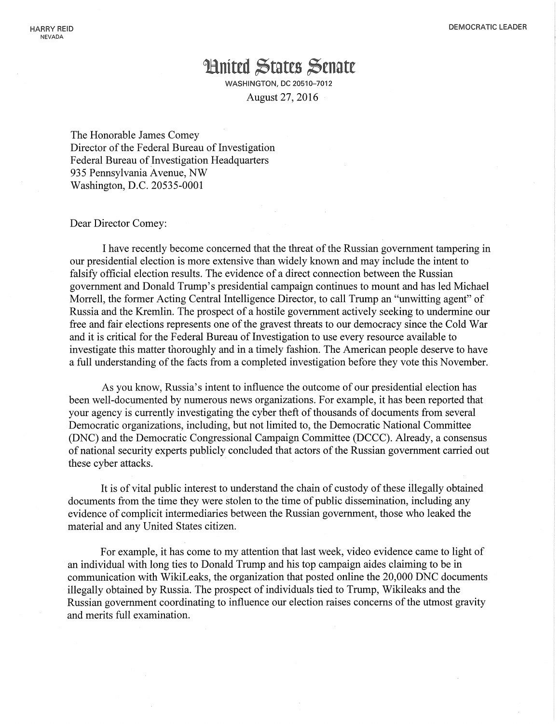## **Hnited States Senate**

WASHINGTON, DC 20510-7012 August 27,2016

The Honorable James Comey Director of the Federal Bureau of Investigation Federal Bureau of Investigation Headquarters 935 Pennsylvania Avenue, NW Washington, D.C. 20535-0001

Dear Director Comey:

I have recently become concerned that the threat of the Russian government tampering in our presidential election is more extensive than widely known and may include the intent to falsify official election results. The evidence of a direct connection between the Russian government and Donald Trump's presidential campaign continues to mount and has led Michael Morrell, the former Acting Central Intelligence Director, to call Trump an "unwitting agent" of Russia and the Kremlin. The prospect of a hostile government actively seeking to undermine our free and fair elections represents one of the gravest threats to our democracy since the Cold War and it is critical for the Federal Bureau of Investigation to use every resource available to investigate this matter thoroughly and in a timely fashion. The American people deserve to have a full understanding of the facts from a completed investigation before they vote this November.

As you know, Russia's intent to influence the outcome of our presidential election has been well-documented by numerous news organizations. For example, it has been reported that your agency is currently investigating the cyber theft of thousands of documents from several Democratic organizations, including, but not limited to, the Democratic National Committee (DNC) and the Democratic Congressional Campaign Committee (DCCC). Already, a consensus of national security experts publicly concluded that actors of the Russian government carried out these cyber attacks.

It is of vital public interest to understand the chain of custody of these illegally obtained documents from the time they were stolen to the time of public dissemination, including any evidence of complicit intermediaries between the Russian government, those who leaked the material and any United States citizen.

For example, it has come to my attention that last week, video evidence came to light of an individual with long ties to Donald Trump and his top campaign aides claiming to be in communication with WikiLeaks, the organization that posted online the 20,000 DNC documents illegally obtained by Russia. The prospect of individuals tied to Trump, Wikileaks and the Russian government coordinating to influence our election raises concerns of the utmost gravity and merits full examination.